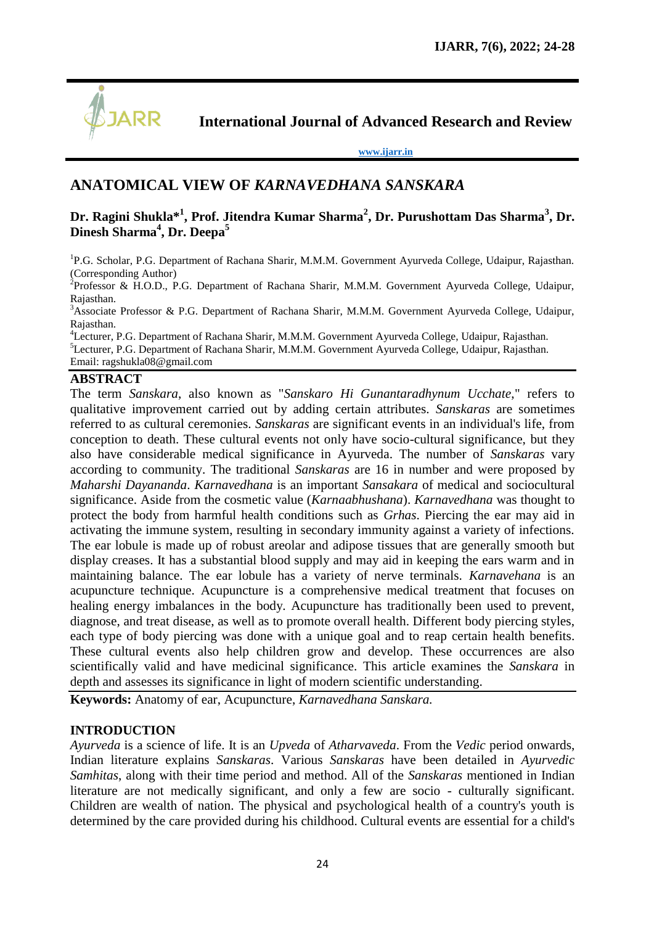

**International Journal of Advanced Research and Review**

**[www.ijarr.in](http://www.ijarr.in/)**

# **ANATOMICAL VIEW OF** *KARNAVEDHANA SANSKARA*

# **Dr. Ragini Shukla\*<sup>1</sup> , Prof. Jitendra Kumar Sharma<sup>2</sup> , Dr. Purushottam Das Sharma<sup>3</sup> , Dr. Dinesh Sharma<sup>4</sup> , Dr. Deepa<sup>5</sup>**

<sup>1</sup>P.G. Scholar, P.G. Department of Rachana Sharir, M.M.M. Government Ayurveda College, Udaipur, Rajasthan. (Corresponding Author)

<sup>2</sup>Professor & H.O.D., P.G. Department of Rachana Sharir, M.M.M. Government Ayurveda College, Udaipur, Rajasthan.

<sup>3</sup>Associate Professor & P.G. Department of Rachana Sharir, M.M.M. Government Ayurveda College, Udaipur, Rajasthan.

<sup>4</sup>Lecturer, P.G. Department of Rachana Sharir, M.M.M. Government Ayurveda College, Udaipur, Rajasthan. <sup>5</sup>Lecturer, P.G. Department of Rachana Sharir, M.M.M. Government Ayurveda College, Udaipur, Rajasthan. Email: [ragshukla08@gmail.com](mailto:ragshukla08@gmail.com)

#### **ABSTRACT**

The term *Sanskara*, also known as "*Sanskaro Hi Gunantaradhynum Ucchate*," refers to qualitative improvement carried out by adding certain attributes. *Sanskaras* are sometimes referred to as cultural ceremonies. *Sanskaras* are significant events in an individual's life, from conception to death. These cultural events not only have socio-cultural significance, but they also have considerable medical significance in Ayurveda. The number of *Sanskaras* vary according to community. The traditional *Sanskaras* are 16 in number and were proposed by *Maharshi Dayananda*. *Karnavedhana* is an important *Sansakara* of medical and sociocultural significance. Aside from the cosmetic value (*Karnaabhushana*). *Karnavedhana* was thought to protect the body from harmful health conditions such as *Grhas*. Piercing the ear may aid in activating the immune system, resulting in secondary immunity against a variety of infections. The ear lobule is made up of robust areolar and adipose tissues that are generally smooth but display creases. It has a substantial blood supply and may aid in keeping the ears warm and in maintaining balance. The ear lobule has a variety of nerve terminals. *Karnavehana* is an acupuncture technique. Acupuncture is a comprehensive medical treatment that focuses on healing energy imbalances in the body. Acupuncture has traditionally been used to prevent, diagnose, and treat disease, as well as to promote overall health. Different body piercing styles, each type of body piercing was done with a unique goal and to reap certain health benefits. These cultural events also help children grow and develop. These occurrences are also scientifically valid and have medicinal significance. This article examines the *Sanskara* in depth and assesses its significance in light of modern scientific understanding.

**Keywords:** Anatomy of ear, Acupuncture, *Karnavedhana Sanskara.*

#### **INTRODUCTION**

*Ayurveda* is a science of life. It is an *Upveda* of *Atharvaveda*. From the *Vedic* period onwards, Indian literature explains *Sanskaras*. Various *Sanskaras* have been detailed in *Ayurvedic Samhitas*, along with their time period and method. All of the *Sanskaras* mentioned in Indian literature are not medically significant, and only a few are socio - culturally significant. Children are wealth of nation. The physical and psychological health of a country's youth is determined by the care provided during his childhood. Cultural events are essential for a child's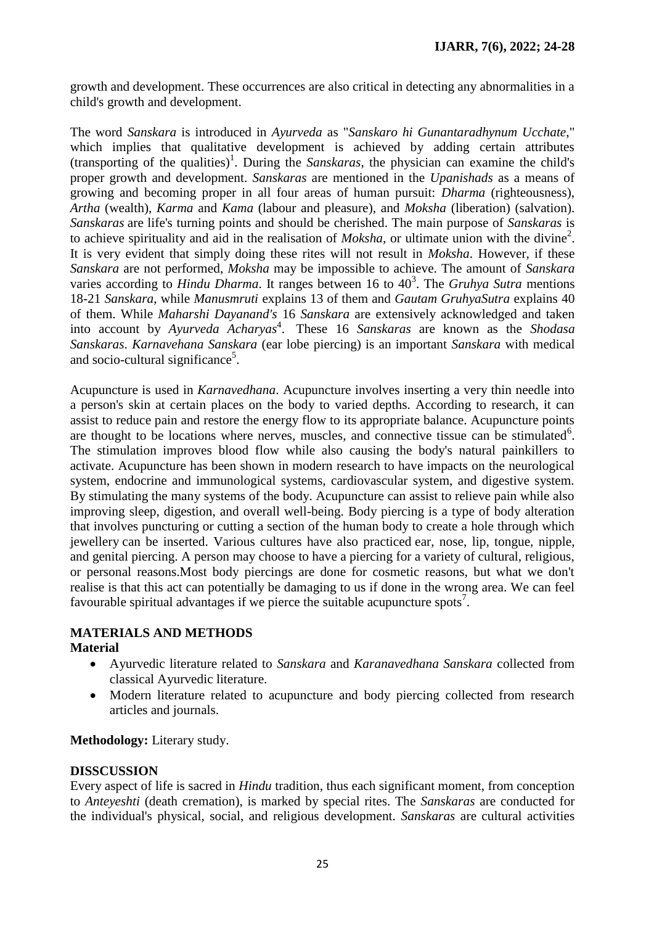growth and development. These occurrences are also critical in detecting any abnormalities in a child's growth and development.

The word *Sanskara* is introduced in *Ayurveda* as "*Sanskaro hi Gunantaradhynum Ucchate*," which implies that qualitative development is achieved by adding certain attributes (transporting of the qualities)<sup>1</sup>. During the *Sanskaras*, the physician can examine the child's proper growth and development. *Sanskaras* are mentioned in the *Upanishads* as a means of growing and becoming proper in all four areas of human pursuit: *Dharma* (righteousness), *Artha* (wealth), *Karma* and *Kama* (labour and pleasure), and *Moksha* (liberation) (salvation). *Sanskaras* are life's turning points and should be cherished. The main purpose of *Sanskaras* is to achieve spirituality and aid in the realisation of  $Moksha$ , or ultimate union with the divine<sup>2</sup>. It is very evident that simply doing these rites will not result in *Moksha*. However, if these *Sanskara* are not performed, *Moksha* may be impossible to achieve. The amount of *Sanskara* varies according to *Hindu Dharma*. It ranges between 16 to 40<sup>3</sup>. The *Gruhya Sutra* mentions 18-21 *Sanskara*, while *Manusmruti* explains 13 of them and *Gautam GruhyaSutra* explains 40 of them. While *Maharshi Dayanand's* 16 *Sanskara* are extensively acknowledged and taken into account by *Ayurveda Acharyas*<sup>4</sup>. These 16 *Sanskaras* are known as the *Shodasa Sanskaras*. *Karnavehana Sanskara* (ear lobe piercing) is an important *Sanskara* with medical and socio-cultural significance<sup>5</sup>.

Acupuncture is used in *Karnavedhana*. Acupuncture involves inserting a very thin needle into a person's skin at certain places on the body to varied depths. According to research, it can assist to reduce pain and restore the energy flow to its appropriate balance. Acupuncture points are thought to be locations where nerves, muscles, and connective tissue can be stimulated<sup>6</sup>. The stimulation improves blood flow while also causing the body's natural painkillers to activate. Acupuncture has been shown in modern research to have impacts on the neurological system, endocrine and immunological systems, cardiovascular system, and digestive system. By stimulating the many systems of the body. Acupuncture can assist to relieve pain while also improving sleep, digestion, and overall well-being. Body piercing is a type of body alteration that involves puncturing or cutting a section of the human body to create a hole through which jewellery can be inserted. Various cultures have also practiced ear, nose, lip, tongue, nipple, and genital piercing. A person may choose to have a piercing for a variety of cultural, religious, or personal reasons.Most body piercings are done for cosmetic reasons, but what we don't realise is that this act can potentially be damaging to us if done in the wrong area. We can feel favourable spiritual advantages if we pierce the suitable acupuncture spots<sup>7</sup>.

#### **MATERIALS AND METHODS Material**

- Ayurvedic literature related to *Sanskara* and *Karanavedhana Sanskara* collected from classical Ayurvedic literature.
- Modern literature related to acupuncture and body piercing collected from research articles and journals.

**Methodology:** Literary study.

# **DISSCUSSION**

Every aspect of life is sacred in *Hindu* tradition, thus each significant moment, from conception to *Anteyeshti* (death cremation), is marked by special rites. The *Sanskaras* are conducted for the individual's physical, social, and religious development*. Sanskaras* are cultural activities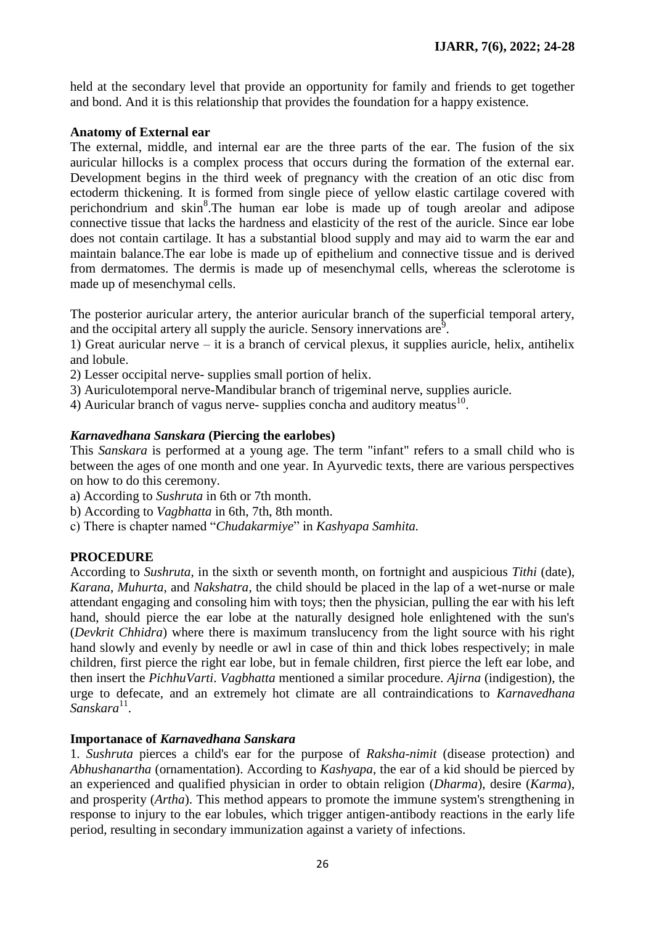held at the secondary level that provide an opportunity for family and friends to get together and bond. And it is this relationship that provides the foundation for a happy existence.

### **Anatomy of External ear**

The external, middle, and internal ear are the three parts of the ear. The fusion of the six auricular hillocks is a complex process that occurs during the formation of the external ear. Development begins in the third week of pregnancy with the creation of an otic disc from ectoderm thickening. It is formed from single piece of yellow elastic cartilage covered with perichondrium and skin<sup>8</sup>. The human ear lobe is made up of tough areolar and adipose connective tissue that lacks the hardness and elasticity of the rest of the auricle. Since ear lobe does not contain cartilage. It has a substantial blood supply and may aid to warm the ear and maintain balance.The ear lobe is made up of epithelium and connective tissue and is derived from dermatomes. The dermis is made up of mesenchymal cells, whereas the sclerotome is made up of mesenchymal cells.

The posterior auricular artery, the anterior auricular branch of the superficial temporal artery, and the occipital artery all supply the auricle. Sensory innervations are $^9$ .

1) Great auricular nerve – it is a branch of cervical plexus, it supplies auricle, helix, antihelix and lobule.

- 2) Lesser occipital nerve- supplies small portion of helix.
- 3) Auriculotemporal nerve-Mandibular branch of trigeminal nerve, supplies auricle.
- 4) Auricular branch of vagus nerve- supplies concha and auditory meatus $^{10}$ .

### *Karnavedhana Sanskara* **(Piercing the earlobes)**

This *Sanskara* is performed at a young age. The term "infant" refers to a small child who is between the ages of one month and one year. In Ayurvedic texts, there are various perspectives on how to do this ceremony.

- a) According to *Sushruta* in 6th or 7th month.
- b) According to *Vagbhatta* in 6th, 7th, 8th month.
- c) There is chapter named "*Chudakarmiye*" in *Kashyapa Samhita.*

# **PROCEDURE**

According to *Sushruta*, in the sixth or seventh month, on fortnight and auspicious *Tithi* (date), *Karana*, *Muhurta*, and *Nakshatra*, the child should be placed in the lap of a wet-nurse or male attendant engaging and consoling him with toys; then the physician, pulling the ear with his left hand, should pierce the ear lobe at the naturally designed hole enlightened with the sun's (*Devkrit Chhidra*) where there is maximum translucency from the light source with his right hand slowly and evenly by needle or awl in case of thin and thick lobes respectively; in male children, first pierce the right ear lobe, but in female children, first pierce the left ear lobe, and then insert the *PichhuVarti*. *Vagbhatta* mentioned a similar procedure. *Ajirna* (indigestion), the urge to defecate, and an extremely hot climate are all contraindications to *Karnavedhana* Sanskara<sup>11</sup>.

#### **Importanace of** *Karnavedhana Sanskara*

1. *Sushruta* pierces a child's ear for the purpose of *Raksha*-*nimit* (disease protection) and *Abhushanartha* (ornamentation). According to *Kashyapa*, the ear of a kid should be pierced by an experienced and qualified physician in order to obtain religion (*Dharma*), desire (*Karma*), and prosperity (*Artha*). This method appears to promote the immune system's strengthening in response to injury to the ear lobules, which trigger antigen-antibody reactions in the early life period, resulting in secondary immunization against a variety of infections.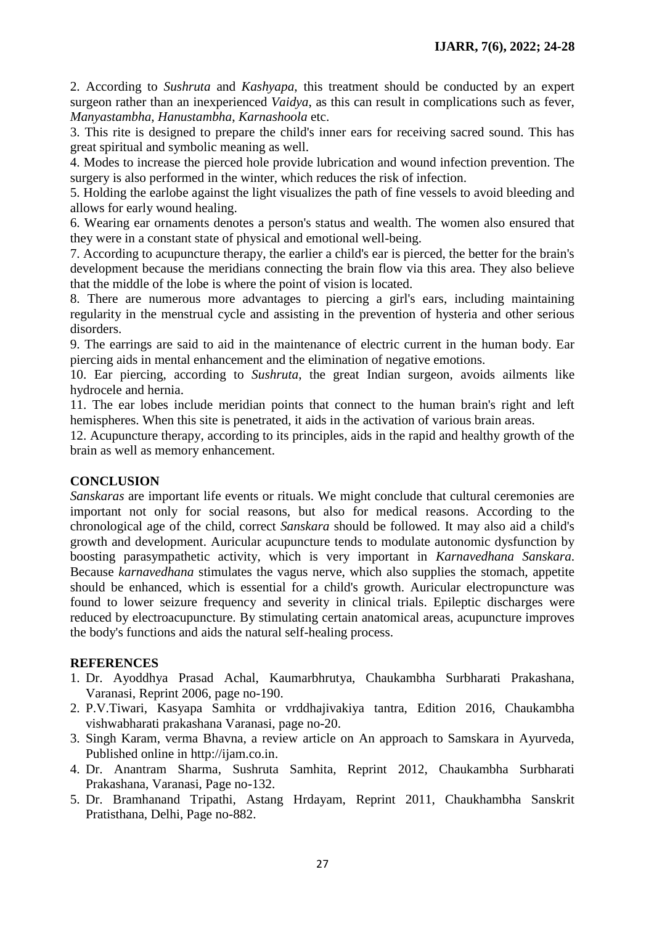2. According to *Sushruta* and *Kashyapa*, this treatment should be conducted by an expert surgeon rather than an inexperienced *Vaidya*, as this can result in complications such as fever, *Manyastambha*, *Hanustambha*, *Karnashoola* etc.

3. This rite is designed to prepare the child's inner ears for receiving sacred sound. This has great spiritual and symbolic meaning as well.

4. Modes to increase the pierced hole provide lubrication and wound infection prevention. The surgery is also performed in the winter, which reduces the risk of infection.

5. Holding the earlobe against the light visualizes the path of fine vessels to avoid bleeding and allows for early wound healing.

6. Wearing ear ornaments denotes a person's status and wealth. The women also ensured that they were in a constant state of physical and emotional well-being.

7. According to acupuncture therapy, the earlier a child's ear is pierced, the better for the brain's development because the meridians connecting the brain flow via this area. They also believe that the middle of the lobe is where the point of vision is located.

8. There are numerous more advantages to piercing a girl's ears, including maintaining regularity in the menstrual cycle and assisting in the prevention of hysteria and other serious disorders.

9. The earrings are said to aid in the maintenance of electric current in the human body. Ear piercing aids in mental enhancement and the elimination of negative emotions.

10. Ear piercing, according to *Sushruta*, the great Indian surgeon, avoids ailments like hydrocele and hernia.

11. The ear lobes include meridian points that connect to the human brain's right and left hemispheres. When this site is penetrated, it aids in the activation of various brain areas.

12. Acupuncture therapy, according to its principles, aids in the rapid and healthy growth of the brain as well as memory enhancement.

# **CONCLUSION**

*Sanskaras* are important life events or rituals. We might conclude that cultural ceremonies are important not only for social reasons, but also for medical reasons. According to the chronological age of the child, correct *Sanskara* should be followed. It may also aid a child's growth and development. Auricular acupuncture tends to modulate autonomic dysfunction by boosting parasympathetic activity, which is very important in *Karnavedhana Sanskara*. Because *karnavedhana* stimulates the vagus nerve, which also supplies the stomach, appetite should be enhanced, which is essential for a child's growth. Auricular electropuncture was found to lower seizure frequency and severity in clinical trials. Epileptic discharges were reduced by electroacupuncture. By stimulating certain anatomical areas, acupuncture improves the body's functions and aids the natural self-healing process.

# **REFERENCES**

- 1. Dr. Ayoddhya Prasad Achal, Kaumarbhrutya, Chaukambha Surbharati Prakashana, Varanasi, Reprint 2006, page no-190.
- 2. P.V.Tiwari, Kasyapa Samhita or vrddhajivakiya tantra, Edition 2016, Chaukambha vishwabharati prakashana Varanasi, page no-20.
- 3. Singh Karam, verma Bhavna, a review article on An approach to Samskara in Ayurveda, Published online in http://ijam.co.in.
- 4. Dr. Anantram Sharma, Sushruta Samhita, Reprint 2012, Chaukambha Surbharati Prakashana, Varanasi, Page no-132.
- 5. Dr. Bramhanand Tripathi, Astang Hrdayam, Reprint 2011, Chaukhambha Sanskrit Pratisthana, Delhi, Page no-882.